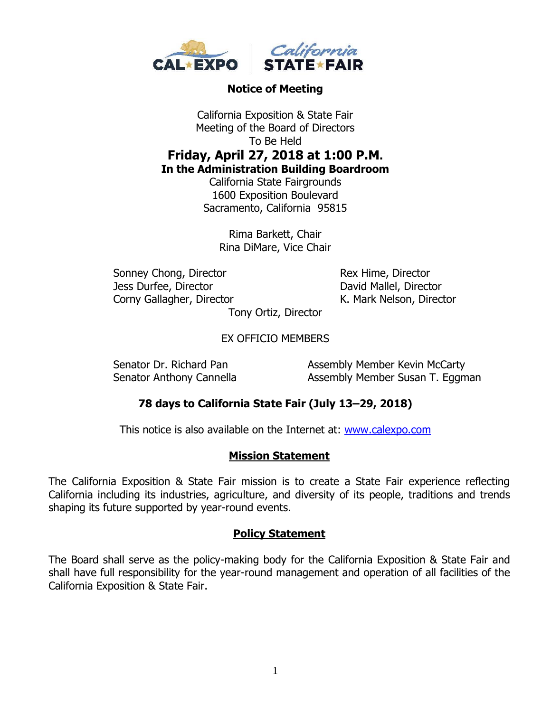

#### **Notice of Meeting**

California Exposition & State Fair Meeting of the Board of Directors To Be Held **Friday, April 27, 2018 at 1:00 P.M. In the Administration Building Boardroom**

California State Fairgrounds 1600 Exposition Boulevard Sacramento, California 95815

> Rima Barkett, Chair Rina DiMare, Vice Chair

Sonney Chong, Director Rex Hime, Director Jess Durfee, Director David Mallel, Director Corny Gallagher, Director K. Mark Nelson, Director

Tony Ortiz, Director

EX OFFICIO MEMBERS

Senator Dr. Richard Pan Assembly Member Kevin McCarty Senator Anthony Cannella **Assembly Member Susan T. Eggman** 

# **78 days to California State Fair (July 13–29, 2018)**

This notice is also available on the Internet at: [www.calexpo.com](http://www.calexpo.com/)

#### **Mission Statement**

The California Exposition & State Fair mission is to create a State Fair experience reflecting California including its industries, agriculture, and diversity of its people, traditions and trends shaping its future supported by year-round events.

#### **Policy Statement**

The Board shall serve as the policy-making body for the California Exposition & State Fair and shall have full responsibility for the year-round management and operation of all facilities of the California Exposition & State Fair.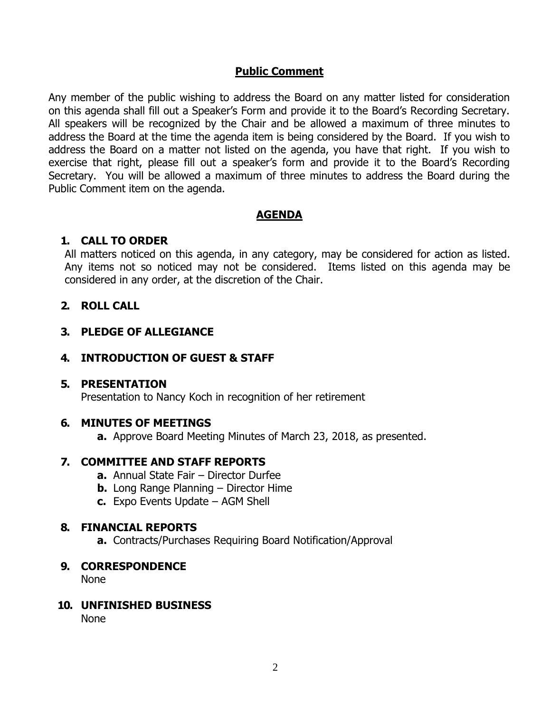#### **Public Comment**

Any member of the public wishing to address the Board on any matter listed for consideration on this agenda shall fill out a Speaker's Form and provide it to the Board's Recording Secretary. All speakers will be recognized by the Chair and be allowed a maximum of three minutes to address the Board at the time the agenda item is being considered by the Board. If you wish to address the Board on a matter not listed on the agenda, you have that right. If you wish to exercise that right, please fill out a speaker's form and provide it to the Board's Recording Secretary. You will be allowed a maximum of three minutes to address the Board during the Public Comment item on the agenda.

# **AGENDA**

# **1. CALL TO ORDER**

All matters noticed on this agenda, in any category, may be considered for action as listed. Any items not so noticed may not be considered. Items listed on this agenda may be considered in any order, at the discretion of the Chair.

# **2. ROLL CALL**

# **3. PLEDGE OF ALLEGIANCE**

# **4. INTRODUCTION OF GUEST & STAFF**

# **5. PRESENTATION**

Presentation to Nancy Koch in recognition of her retirement

# **6. MINUTES OF MEETINGS**

**a.** Approve Board Meeting Minutes of March 23, 2018, as presented.

# **7. COMMITTEE AND STAFF REPORTS**

- **a.** Annual State Fair Director Durfee
- **b.** Long Range Planning Director Hime
- **c.** Expo Events Update AGM Shell

# **8. FINANCIAL REPORTS**

**a.** Contracts/Purchases Requiring Board Notification/Approval

#### **9. CORRESPONDENCE**

None

#### **10. UNFINISHED BUSINESS**

None